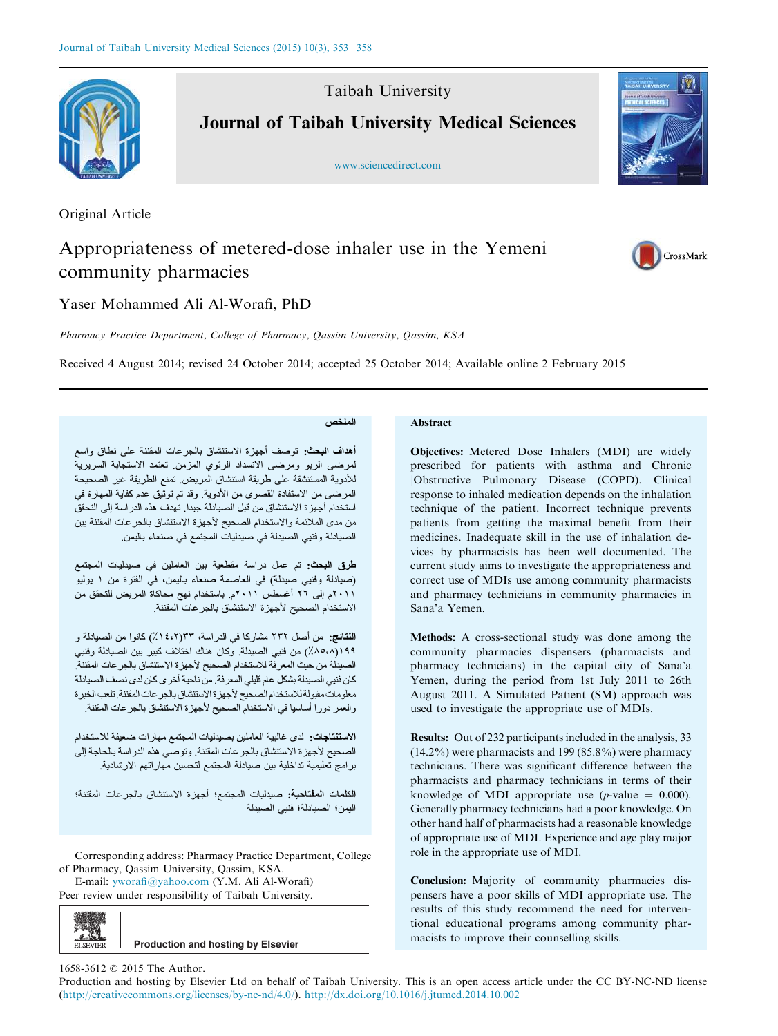

Taibah University Journal of Taibah University Medical Sciences

www.sciencedirect.com

Original Article

# Appropriateness of metered-dose inhaler use in the Yemeni community pharmacies

Yaser Mohammed Ali Al-Worafi, PhD

Pharmacy Practice Department, College of Pharmacy, Qassim University, Qassim, KSA

Received 4 August 2014; revised 24 October 2014; accepted 25 October 2014; Available online 2 February 2015

## الملخص

أهداف البحث: توصف أجهزة الاستنشاق بالجرعات المقننة على نطاق واسع لمرضى الربو ومرضى الانسداد الرئوي المزمن تعتمد الاستجابة السريرية للأدوية المستنشقة على طريقة استنشاق المريض. تمنع الطريقة غير الصحيحة المرضى من الاستفادة القصوى من الأدوية. وقد تم توثيق عدم كفاية المهارة في استخدام أجهزة الاستنشاق من قبل الصيادلة جيدا. تهدف هذه الدراسة إلى التحقق من مدى الملائمة والاستخدام الصحيح لأجهزة الاستنشاق بالجرعات المقننة بين الصيادلة وفنيي الصيدلة في صيدليات المجتمع في صنعاء باليمن

طرق البحث: تم عمل دراسة مقطعية بين العاملين في صيدليات المجتمع (صيادلة وفنيي صيدلة) في العاصمة صنعاء باليمن، في الفترة من ١ يوليو ٢٠١١م إلى ٢٦ أغسطس ٢٠١١م. باستخدام نهج محاكاة المريض للتحقق من الاستخدام الصحيح لأجهزة الاستنشاق بالجر عات المقننة.

النتائج: من أصل ٢٣٢ مشاركا في الدراسة، ٣٣(١٤،٢٪) كانوا من الصيانلة و ١٩٩(٨٥،٨٪) من فنيبي الصيدلة. وكان هناك اختلاف كبير بين الصيادلة وفنيبي الصبدلة من حيث المعرفة للاستخدام الصحيح لأجهزة الاستنشاق بالجر عات المقننة. كان فنيي الصبدلة بشكل عام قليلي المعرفة. من ناحية أخرى كان لدى نصف الصبادلة معلومات مقبولة للاستخدام الصحيح لأجهزة الاستنشاق بالجر عات المقننة تلعب الخبرة والعمر دورا أساسيا في الاستخدام الصحيح لأجهزة الاستنشاق بالجرعات المقننة

الاستنتاجات: لدى غالبية العاملين بصبدليات المجتمع مهارات ضعيفة للاستخدام الصحيح لأجهزة الاستنشاق بالجر عات المقننة. وتوصى هذه الدراسة بالحاجة إلى برامج تعليمية تداخلية بين صيادلة المجتمع لتحسين مهار اتهم الارشادية

الكلمات المفتاحية: صبدليات المجتمع؛ أجهزة الاستنشاق بالجرعات المقننة؛ اليمن؛ الصيادلة؛ فنيي الصيدلة

Corresponding address: Pharmacy Practice Department, College of Pharmacy, Qassim University, Qassim, KSA.

E-mail: yworafi@yahoo.com (Y.M. Ali Al-Worafi) Peer review under responsibility of Taibah University.

 $\frac{100}{F1$  SEVIER **Production and hosting by Elsevier**

# **Abstract**

Objectives: Metered Dose Inhalers (MDI) are widely prescribed for patients with asthma and Chronic jObstructive Pulmonary Disease (COPD). Clinical response to inhaled medication depends on the inhalation technique of the patient. Incorrect technique prevents patients from getting the maximal benefit from their medicines. Inadequate skill in the use of inhalation devices by pharmacists has been well documented. The current study aims to investigate the appropriateness and correct use of MDIs use among community pharmacists and pharmacy technicians in community pharmacies in Sana'a Yemen.

Methods: A cross-sectional study was done among the community pharmacies dispensers (pharmacists and pharmacy technicians) in the capital city of Sana'a Yemen, during the period from 1st July 2011 to 26th August 2011. A Simulated Patient (SM) approach was used to investigate the appropriate use of MDIs.

Results: Out of 232 participants included in the analysis, 33 (14.2%) were pharmacists and 199 (85.8%) were pharmacy technicians. There was significant difference between the pharmacists and pharmacy technicians in terms of their knowledge of MDI appropriate use (*p*-value  $= 0.000$ ). Generally pharmacy technicians had a poor knowledge. On other hand half of pharmacists had a reasonable knowledge of appropriate use of MDI. Experience and age play major role in the appropriate use of MDI.

Conclusion: Majority of community pharmacies dispensers have a poor skills of MDI appropriate use. The results of this study recommend the need for interventional educational programs among community pharmacists to improve their counselling skills.

1658-3612 © 2015 The Author.

Production and hosting by Elsevier Ltd on behalf of Taibah University. This is an open access article under the CC BY-NC-ND license (http://creativecommons.org/licenses/by-nc-nd/4.0/). http://dx.doi.org/10.1016/j.jtumed.2014.10.002



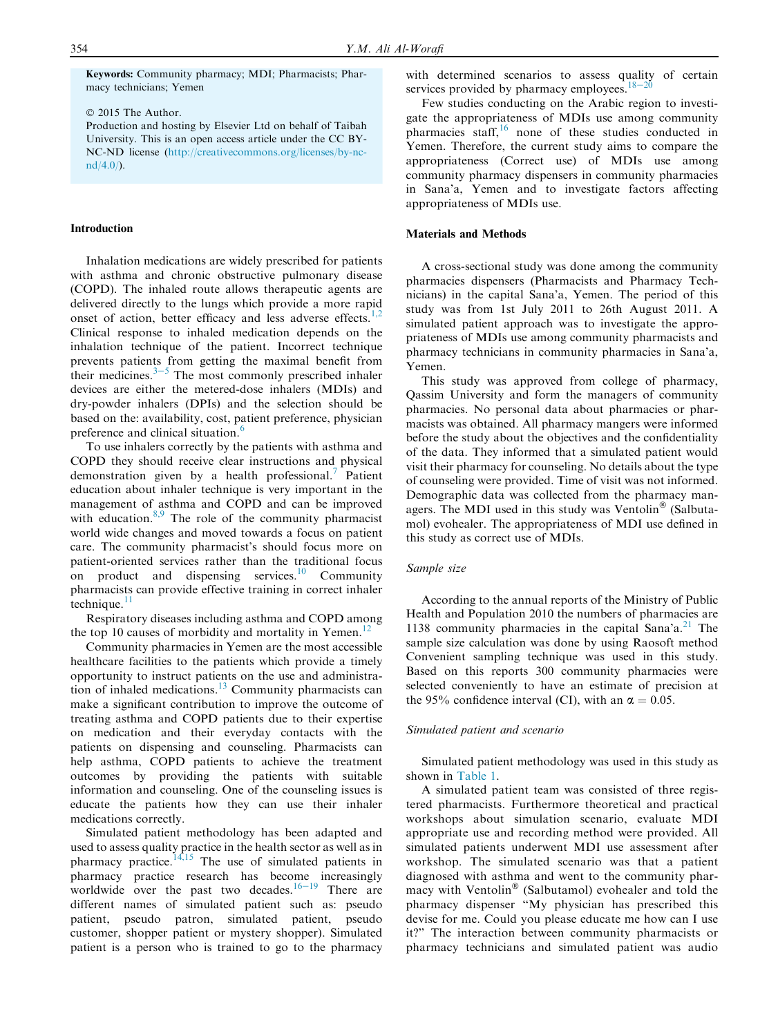Keywords: Community pharmacy; MDI; Pharmacists; Pharmacy technicians; Yemen

2015 The Author.

Production and hosting by Elsevier Ltd on behalf of Taibah University. This is an open access article under the CC BY-NC-ND license (http://creativecommons.org/licenses/by-nc $nd/4.0/$ ).

## Introduction

Inhalation medications are widely prescribed for patients with asthma and chronic obstructive pulmonary disease (COPD). The inhaled route allows therapeutic agents are delivered directly to the lungs which provide a more rapid onset of action, better efficacy and less adverse effects.<sup>1,2</sup> Clinical response to inhaled medication depends on the inhalation technique of the patient. Incorrect technique prevents patients from getting the maximal benefit from their medicines. $3-5$  The most commonly prescribed inhaler devices are either the metered-dose inhalers (MDIs) and dry-powder inhalers (DPIs) and the selection should be based on the: availability, cost, patient preference, physician preference and clinical situation.<sup>6</sup>

To use inhalers correctly by the patients with asthma and COPD they should receive clear instructions and physical demonstration given by a health professional.<sup>7</sup> Patient education about inhaler technique is very important in the management of asthma and COPD and can be improved with education. $8,9$  The role of the community pharmacist world wide changes and moved towards a focus on patient care. The community pharmacist's should focus more on patient-oriented services rather than the traditional focus on product and dispensing services.<sup>10</sup> Community pharmacists can provide effective training in correct inhaler technique. $\frac{11}{11}$ 

Respiratory diseases including asthma and COPD among the top 10 causes of morbidity and mortality in Yemen.<sup>12</sup>

Community pharmacies in Yemen are the most accessible healthcare facilities to the patients which provide a timely opportunity to instruct patients on the use and administration of inhaled medications.<sup>13</sup> Community pharmacists can make a significant contribution to improve the outcome of treating asthma and COPD patients due to their expertise on medication and their everyday contacts with the patients on dispensing and counseling. Pharmacists can help asthma, COPD patients to achieve the treatment outcomes by providing the patients with suitable information and counseling. One of the counseling issues is educate the patients how they can use their inhaler medications correctly.

Simulated patient methodology has been adapted and used to assess quality practice in the health sector as well as in pharmacy practice. $14,15$  The use of simulated patients in pharmacy practice research has become increasingly worldwide over the past two decades.<sup>16-19</sup> There are different names of simulated patient such as: pseudo patient, pseudo patron, simulated patient, pseudo customer, shopper patient or mystery shopper). Simulated patient is a person who is trained to go to the pharmacy with determined scenarios to assess quality of certain services provided by pharmacy employees.<sup>18–20</sup>

Few studies conducting on the Arabic region to investigate the appropriateness of MDIs use among community pharmacies staff, $16$  none of these studies conducted in Yemen. Therefore, the current study aims to compare the appropriateness (Correct use) of MDIs use among community pharmacy dispensers in community pharmacies in Sana'a, Yemen and to investigate factors affecting appropriateness of MDIs use.

#### Materials and Methods

A cross-sectional study was done among the community pharmacies dispensers (Pharmacists and Pharmacy Technicians) in the capital Sana'a, Yemen. The period of this study was from 1st July 2011 to 26th August 2011. A simulated patient approach was to investigate the appropriateness of MDIs use among community pharmacists and pharmacy technicians in community pharmacies in Sana'a, Yemen.

This study was approved from college of pharmacy, Qassim University and form the managers of community pharmacies. No personal data about pharmacies or pharmacists was obtained. All pharmacy mangers were informed before the study about the objectives and the confidentiality of the data. They informed that a simulated patient would visit their pharmacy for counseling. No details about the type of counseling were provided. Time of visit was not informed. Demographic data was collected from the pharmacy managers. The MDI used in this study was Ventolin® (Salbutamol) evohealer. The appropriateness of MDI use defined in this study as correct use of MDIs.

#### Sample size

According to the annual reports of the Ministry of Public Health and Population 2010 the numbers of pharmacies are 1138 community pharmacies in the capital Sana'a.<sup>21</sup> The sample size calculation was done by using Raosoft method Convenient sampling technique was used in this study. Based on this reports 300 community pharmacies were selected conveniently to have an estimate of precision at the 95% confidence interval (CI), with an  $\alpha = 0.05$ .

#### Simulated patient and scenario

Simulated patient methodology was used in this study as shown in Table 1.

A simulated patient team was consisted of three registered pharmacists. Furthermore theoretical and practical workshops about simulation scenario, evaluate MDI appropriate use and recording method were provided. All simulated patients underwent MDI use assessment after workshop. The simulated scenario was that a patient diagnosed with asthma and went to the community pharmacy with Ventolin® (Salbutamol) evohealer and told the pharmacy dispenser "My physician has prescribed this devise for me. Could you please educate me how can I use it?" The interaction between community pharmacists or pharmacy technicians and simulated patient was audio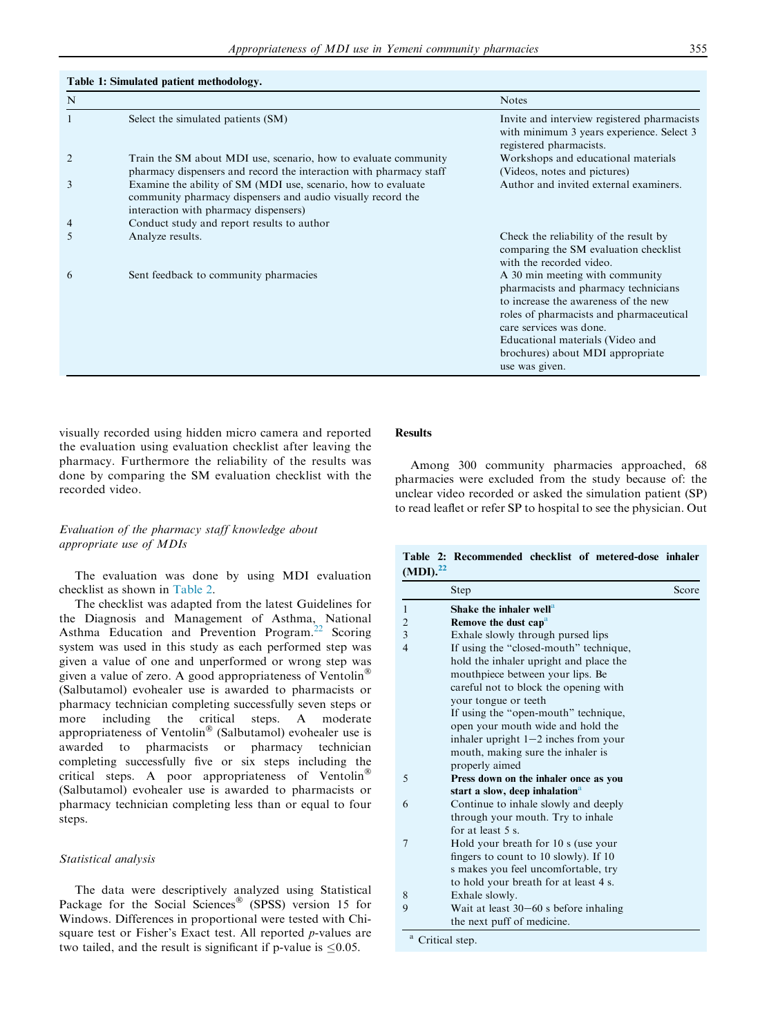Table 1: Simulated patient methodology.

| N |                                                                                                                                                                       | <b>Notes</b>                                                                                                                                                                                                                                                                    |
|---|-----------------------------------------------------------------------------------------------------------------------------------------------------------------------|---------------------------------------------------------------------------------------------------------------------------------------------------------------------------------------------------------------------------------------------------------------------------------|
|   | Select the simulated patients (SM)                                                                                                                                    | Invite and interview registered pharmacists<br>with minimum 3 years experience. Select 3<br>registered pharmacists.                                                                                                                                                             |
|   | Train the SM about MDI use, scenario, how to evaluate community<br>pharmacy dispensers and record the interaction with pharmacy staff                                 | Workshops and educational materials<br>(Videos, notes and pictures)                                                                                                                                                                                                             |
| 3 | Examine the ability of SM (MDI use, scenario, how to evaluate<br>community pharmacy dispensers and audio visually record the<br>interaction with pharmacy dispensers) | Author and invited external examiners.                                                                                                                                                                                                                                          |
| 4 | Conduct study and report results to author                                                                                                                            |                                                                                                                                                                                                                                                                                 |
| C | Analyze results.                                                                                                                                                      | Check the reliability of the result by<br>comparing the SM evaluation checklist<br>with the recorded video.                                                                                                                                                                     |
| 6 | Sent feedback to community pharmacies                                                                                                                                 | A 30 min meeting with community<br>pharmacists and pharmacy technicians<br>to increase the awareness of the new<br>roles of pharmacists and pharmaceutical<br>care services was done.<br>Educational materials (Video and<br>brochures) about MDI appropriate<br>use was given. |

visually recorded using hidden micro camera and reported the evaluation using evaluation checklist after leaving the pharmacy. Furthermore the reliability of the results was done by comparing the SM evaluation checklist with the recorded video.

## Evaluation of the pharmacy staff knowledge about appropriate use of MDIs

The evaluation was done by using MDI evaluation checklist as shown in Table 2.

The checklist was adapted from the latest Guidelines for the Diagnosis and Management of Asthma, National Asthma Education and Prevention Program.<sup>22</sup> Scoring system was used in this study as each performed step was given a value of one and unperformed or wrong step was given a value of zero. A good appropriateness of Ventolin<sup>®</sup> (Salbutamol) evohealer use is awarded to pharmacists or pharmacy technician completing successfully seven steps or more including the critical steps. A moderate appropriateness of Ventolin<sup>®</sup> (Salbutamol) evohealer use is awarded to pharmacists or pharmacy technician completing successfully five or six steps including the critical steps. A poor appropriateness of Ventolin<sup>®</sup> (Salbutamol) evohealer use is awarded to pharmacists or pharmacy technician completing less than or equal to four steps.

#### Statistical analysis

The data were descriptively analyzed using Statistical Package for the Social Sciences<sup>®</sup> (SPSS) version 15 for Windows. Differences in proportional were tested with Chisquare test or Fisher's Exact test. All reported p-values are two tailed, and the result is significant if p-value is  $\leq 0.05$ .

# **Results**

Among 300 community pharmacies approached, 68 pharmacies were excluded from the study because of: the unclear video recorded or asked the simulation patient (SP) to read leaflet or refer SP to hospital to see the physician. Out

Table 2: Recommended checklist of metered-dose inhaler  $(MDI).<sup>22</sup>$ 

|                | Step                                       | Score |
|----------------|--------------------------------------------|-------|
| 1              | Shake the inhaler well <sup>a</sup>        |       |
| $\overline{c}$ | Remove the dust cap <sup>a</sup>           |       |
| 3              | Exhale slowly through pursed lips          |       |
| $\overline{4}$ | If using the "closed-mouth" technique,     |       |
|                | hold the inhaler upright and place the     |       |
|                | mouthpiece between your lips. Be           |       |
|                | careful not to block the opening with      |       |
|                | your tongue or teeth                       |       |
|                | If using the "open-mouth" technique,       |       |
|                | open your mouth wide and hold the          |       |
|                | inhaler upright $1-2$ inches from your     |       |
|                | mouth, making sure the inhaler is          |       |
|                | properly aimed                             |       |
| 5              | Press down on the inhaler once as you      |       |
|                | start a slow, deep inhalation <sup>a</sup> |       |
| 6              | Continue to inhale slowly and deeply       |       |
|                | through your mouth. Try to inhale          |       |
|                | for at least $5s$ .                        |       |
| 7              | Hold your breath for 10 s (use your        |       |
|                | fingers to count to 10 slowly). If 10      |       |
|                | s makes you feel uncomfortable, try        |       |
|                | to hold your breath for at least 4 s.      |       |
| 8              | Exhale slowly.                             |       |
| 9              | Wait at least $30-60$ s before inhaling    |       |
|                | the next puff of medicine.                 |       |
|                | <sup>a</sup> Critical step.                |       |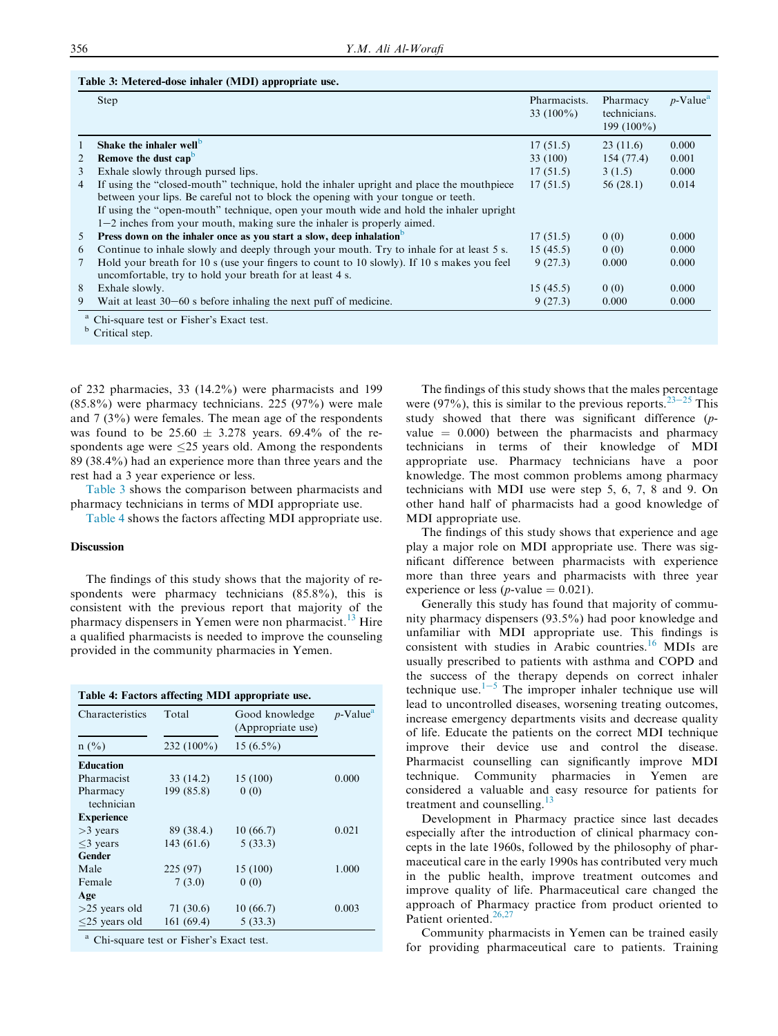#### Table 3: Metered-dose inhaler (MDI) appropriate use.

|                | <b>Step</b>                                                                                | Pharmacists.<br>33 $(100\%)$ | Pharmacy<br>technicians.<br>199 (100%) | $p$ -Value <sup>a</sup> |
|----------------|--------------------------------------------------------------------------------------------|------------------------------|----------------------------------------|-------------------------|
|                | Shake the inhaler well <sup>b</sup>                                                        | 17(51.5)                     | 23(11.6)                               | 0.000                   |
| 2              | Remove the dust capb                                                                       | 33 (100)                     | 154(77.4)                              | 0.001                   |
| 3              | Exhale slowly through pursed lips.                                                         | 17(51.5)                     | 3(1.5)                                 | 0.000                   |
| $\overline{4}$ | If using the "closed-mouth" technique, hold the inhaler upright and place the mouthpiece   | 17(51.5)                     | 56(28.1)                               | 0.014                   |
|                | between your lips. Be careful not to block the opening with your tongue or teeth.          |                              |                                        |                         |
|                | If using the "open-mouth" technique, open your mouth wide and hold the inhaler upright     |                              |                                        |                         |
|                | $1-2$ inches from your mouth, making sure the inhaler is properly aimed.                   |                              |                                        |                         |
| 5              | Press down on the inhaler once as you start a slow, deep inhalation <sup>b</sup>           | 17(51.5)                     | 0(0)                                   | 0.000                   |
| 6              | Continue to inhale slowly and deeply through your mouth. Try to inhale for at least 5 s.   | 15(45.5)                     | 0(0)                                   | 0.000                   |
|                | Hold your breath for 10 s (use your fingers to count to 10 slowly). If 10 s makes you feel | 9(27.3)                      | 0.000                                  | 0.000                   |
|                | uncomfortable, try to hold your breath for at least 4 s.                                   |                              |                                        |                         |
| 8              | Exhale slowly.                                                                             | 15(45.5)                     | 0(0)                                   | 0.000                   |
| 9              | Wait at least $30-60$ s before inhaling the next puff of medicine.                         | 9(27.3)                      | 0.000                                  | 0.000                   |

<sup>b</sup> Critical step.

of 232 pharmacies, 33 (14.2%) were pharmacists and 199 (85.8%) were pharmacy technicians. 225 (97%) were male and 7 (3%) were females. The mean age of the respondents was found to be  $25.60 \pm 3.278$  years. 69.4% of the respondents age were  $\leq$ 25 years old. Among the respondents 89 (38.4%) had an experience more than three years and the rest had a 3 year experience or less.

Table 3 shows the comparison between pharmacists and pharmacy technicians in terms of MDI appropriate use.

Table 4 shows the factors affecting MDI appropriate use.

#### **Discussion**

The findings of this study shows that the majority of respondents were pharmacy technicians (85.8%), this is consistent with the previous report that majority of the pharmacy dispensers in Yemen were non pharmacist.<sup>13</sup> Hire a qualified pharmacists is needed to improve the counseling provided in the community pharmacies in Yemen.

| Characteristics   | Total        | Good knowledge<br>(Appropriate use) | $p$ -Value <sup>a</sup> |  |
|-------------------|--------------|-------------------------------------|-------------------------|--|
| $n\ (\%)$         | $232(100\%)$ | $15(6.5\%)$                         |                         |  |
| <b>Education</b>  |              |                                     |                         |  |
| Pharmacist        | 33(14.2)     | 15 (100)                            | 0.000                   |  |
| Pharmacy          | 199 (85.8)   | 0(0)                                |                         |  |
| technician        |              |                                     |                         |  |
| <b>Experience</b> |              |                                     |                         |  |
| $>3$ years        | 89 (38.4.)   | 10(66.7)                            | 0.021                   |  |
| $<$ 3 years       | 143(61.6)    | 5(33.3)                             |                         |  |
| Gender            |              |                                     |                         |  |
| Male              | 225(97)      | 15 (100)                            | 1.000                   |  |
| Female            | 7(3.0)       | 0(0)                                |                         |  |
| Age               |              |                                     |                         |  |
| $>25$ years old   | 71 (30.6)    | 10(66.7)                            | 0.003                   |  |
| $<$ 25 years old  | 161(69.4)    | 5(33.3)                             |                         |  |

The findings of this study shows that the males percentage were (97%), this is similar to the previous reports.<sup>23–25</sup> This study showed that there was significant difference (pvalue  $= 0.000$ ) between the pharmacists and pharmacy technicians in terms of their knowledge of MDI appropriate use. Pharmacy technicians have a poor knowledge. The most common problems among pharmacy technicians with MDI use were step 5, 6, 7, 8 and 9. On other hand half of pharmacists had a good knowledge of MDI appropriate use.

The findings of this study shows that experience and age play a major role on MDI appropriate use. There was significant difference between pharmacists with experience more than three years and pharmacists with three year experience or less (*p*-value  $= 0.021$ ).

Generally this study has found that majority of community pharmacy dispensers (93.5%) had poor knowledge and unfamiliar with MDI appropriate use. This findings is consistent with studies in Arabic countries.<sup>16</sup> MDIs are usually prescribed to patients with asthma and COPD and the success of the therapy depends on correct inhaler technique use. $1-5$  The improper inhaler technique use will lead to uncontrolled diseases, worsening treating outcomes, increase emergency departments visits and decrease quality of life. Educate the patients on the correct MDI technique improve their device use and control the disease. Pharmacist counselling can significantly improve MDI technique. Community pharmacies in Yemen are considered a valuable and easy resource for patients for treatment and counselling. $13$ 

Development in Pharmacy practice since last decades especially after the introduction of clinical pharmacy concepts in the late 1960s, followed by the philosophy of pharmaceutical care in the early 1990s has contributed very much in the public health, improve treatment outcomes and improve quality of life. Pharmaceutical care changed the approach of Pharmacy practice from product oriented to Patient oriented.<sup>26,27</sup>

Community pharmacists in Yemen can be trained easily for providing pharmaceutical care to patients. Training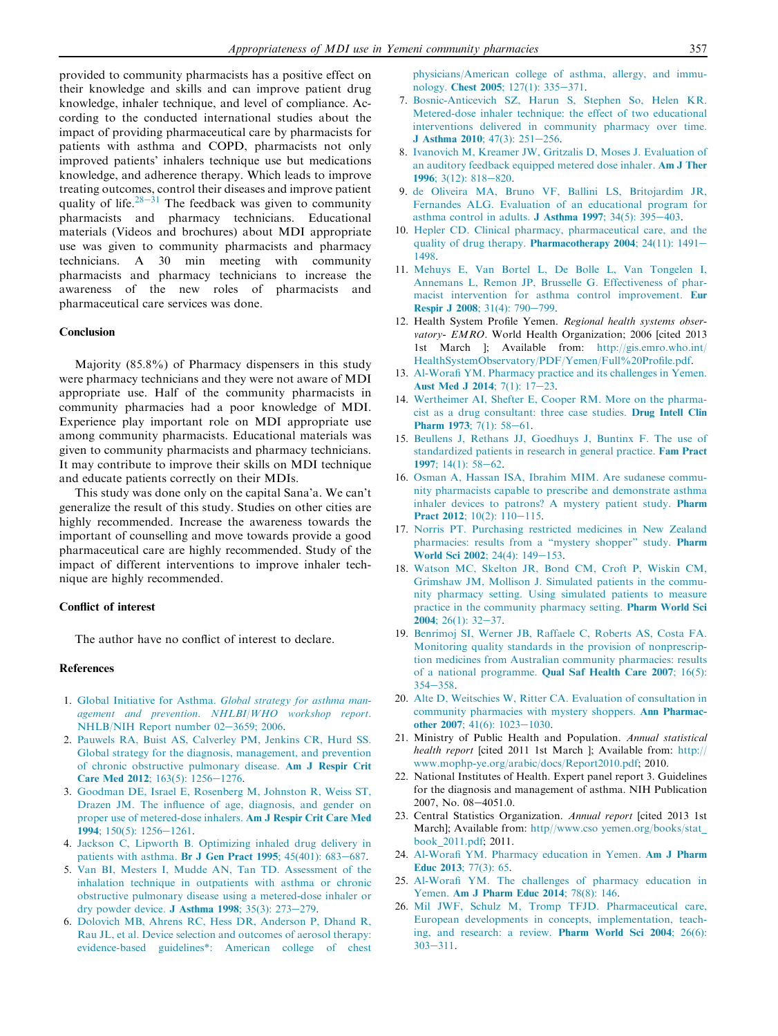provided to community pharmacists has a positive effect on their knowledge and skills and can improve patient drug knowledge, inhaler technique, and level of compliance. According to the conducted international studies about the impact of providing pharmaceutical care by pharmacists for patients with asthma and COPD, pharmacists not only improved patients' inhalers technique use but medications knowledge, and adherence therapy. Which leads to improve treating outcomes, control their diseases and improve patient quality of life.<sup>28–31</sup> The feedback was given to community pharmacists and pharmacy technicians. Educational materials (Videos and brochures) about MDI appropriate use was given to community pharmacists and pharmacy technicians. A 30 min meeting with community pharmacists and pharmacy technicians to increase the awareness of the new roles of pharmacists and pharmaceutical care services was done.

#### Conclusion

Majority (85.8%) of Pharmacy dispensers in this study were pharmacy technicians and they were not aware of MDI appropriate use. Half of the community pharmacists in community pharmacies had a poor knowledge of MDI. Experience play important role on MDI appropriate use among community pharmacists. Educational materials was given to community pharmacists and pharmacy technicians. It may contribute to improve their skills on MDI technique and educate patients correctly on their MDIs.

This study was done only on the capital Sana'a. We can't generalize the result of this study. Studies on other cities are highly recommended. Increase the awareness towards the important of counselling and move towards provide a good pharmaceutical care are highly recommended. Study of the impact of different interventions to improve inhaler technique are highly recommended.

## Conflict of interest

The author have no conflict of interest to declare.

#### References

- 1. Global Initiative for Asthma. Global strategy for asthma management and prevention. NHLBI/WHO workshop report. NHLB/NIH Report number 02-3659; 2006.
- 2. Pauwels RA, Buist AS, Calverley PM, Jenkins CR, Hurd SS. Global strategy for the diagnosis, management, and prevention of chronic obstructive pulmonary disease. Am J Respir Crit Care Med 2012;  $163(5)$ :  $1256 - 1276$ .
- 3. Goodman DE, Israel E, Rosenberg M, Johnston R, Weiss ST, Drazen JM. The influence of age, diagnosis, and gender on proper use of metered-dose inhalers. Am J Respir Crit Care Med 1994; 150(5): 1256-1261.
- 4. Jackson C, Lipworth B. Optimizing inhaled drug delivery in patients with asthma. Br J Gen Pract 1995;  $45(401)$ :  $683-687$ .
- 5. Van BI, Mesters I, Mudde AN, Tan TD. Assessment of the inhalation technique in outpatients with asthma or chronic obstructive pulmonary disease using a metered-dose inhaler or dry powder device. J Asthma 1998;  $35(3)$ :  $273-279$ .
- 6. Dolovich MB, Ahrens RC, Hess DR, Anderson P, Dhand R, Rau JL, et al. Device selection and outcomes of aerosol therapy: evidence-based guidelines\*: American college of chest

physicians/American college of asthma, allergy, and immunology. Chest 2005;  $127(1)$ : 335-371.

- 7. Bosnic-Anticevich SZ, Harun S, Stephen So, Helen KR. Metered-dose inhaler technique: the effect of two educational interventions delivered in community pharmacy over time. J Asthma 2010;  $47(3)$ :  $251-256$ .
- 8. Ivanovich M, Kreamer JW, Gritzalis D, Moses J. Evaluation of an auditory feedback equipped metered dose inhaler. Am J Ther 1996;  $3(12)$ :  $818-820$ .
- 9. de Oliveira MA, Bruno VF, Ballini LS, Britojardim JR, Fernandes ALG. Evaluation of an educational program for asthma control in adults. **J** Asthma 1997;  $34(5)$ :  $395-403$ .
- 10. Hepler CD. Clinical pharmacy, pharmaceutical care, and the quality of drug therapy. Pharmacotherapy 2004;  $24(11)$ :  $1491-$ 1498.
- 11. Mehuys E, Van Bortel L, De Bolle L, Van Tongelen I, Annemans L, Remon JP, Brusselle G. Effectiveness of pharmacist intervention for asthma control improvement. Eur **Respir J 2008**; 31(4):  $790-799$ .
- 12. Health System Profile Yemen. Regional health systems observatory- EMRO. World Health Organization; 2006 [cited 2013] 1st March ]; Available from: http://gis.emro.who.int/ HealthSystemObservatory/PDF/Yemen/Full%20Profile.pdf.
- 13. Al-Worafi YM. Pharmacy practice and its challenges in Yemen. Aust Med J 2014;  $7(1)$ : 17-23.
- 14. Wertheimer AI, Shefter E, Cooper RM. More on the pharmacist as a drug consultant: three case studies. Drug Intell Clin **Pharm 1973**; 7(1):  $58-61$ .
- 15. Beullens J, Rethans JJ, Goedhuys J, Buntinx F. The use of standardized patients in research in general practice. Fam Pract 1997; 14(1):  $58-62$ .
- 16. Osman A, Hassan ISA, Ibrahim MIM. Are sudanese community pharmacists capable to prescribe and demonstrate asthma inhaler devices to patrons? A mystery patient study. Pharm Pract 2012;  $10(2)$ :  $110-115$ .
- 17. Norris PT. Purchasing restricted medicines in New Zealand pharmacies: results from a "mystery shopper" study. Pharm World Sci 2002;  $24(4)$ :  $149-153$ .
- 18. Watson MC, Skelton JR, Bond CM, Croft P, Wiskin CM, Grimshaw JM, Mollison J. Simulated patients in the community pharmacy setting. Using simulated patients to measure practice in the community pharmacy setting. Pharm World Sci **2004**; 26(1):  $32-37$ .
- 19. Benrimoj SI, Werner JB, Raffaele C, Roberts AS, Costa FA. Monitoring quality standards in the provision of nonprescription medicines from Australian community pharmacies: results of a national programme. Qual Saf Health Care 2007; 16(5):  $354 - 358$
- 20. Alte D, Weitschies W, Ritter CA. Evaluation of consultation in community pharmacies with mystery shoppers. Ann Pharmacother 2007; 41(6): 1023-1030.
- 21. Ministry of Public Health and Population. Annual statistical health report [cited 2011 1st March ]; Available from: http:// www.mophp-ye.org/arabic/docs/Report2010.pdf; 2010.
- 22. National Institutes of Health. Expert panel report 3. Guidelines for the diagnosis and management of asthma. NIH Publication 2007, No. 08-4051.0.
- 23. Central Statistics Organization. Annual report [cited 2013 1st March]; Available from: http//www.cso yemen.org/books/stat\_ book\_2011.pdf; 2011.
- 24. Al-Worafi YM. Pharmacy education in Yemen. Am J Pharm Educ 2013; 77(3): 65.
- 25. Al-Worafi YM. The challenges of pharmacy education in Yemen. Am J Pharm Educ 2014; 78(8): 146.
- 26. Mil JWF, Schulz M, Tromp TFJD. Pharmaceutical care, European developments in concepts, implementation, teaching, and research: a review. Pharm World Sci 2004; 26(6):  $303 - 311.$